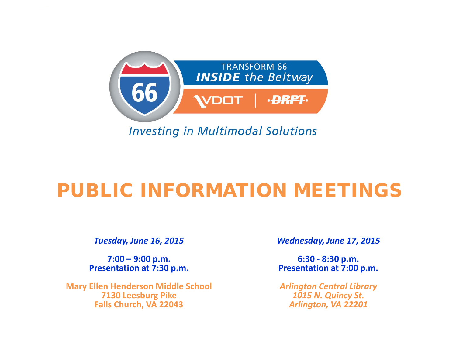

**Investing in Multimodal Solutions** 

# PUBLIC INFORMATION MEETINGS

*Tuesday, June 16, 2015*

**7:00 – 9:00 p.m. Presentation at 7:30 p.m.** 

**Mary Ellen Henderson Middle School 7130 Leesburg Pike Falls Church, VA 22043**

*Wednesday, June 17, 2015*

**6:30 - 8:30 p.m. Presentation at 7:00 p.m.**

*Arlington Central Library 1015 N. Quincy St. Arlington, VA 22201*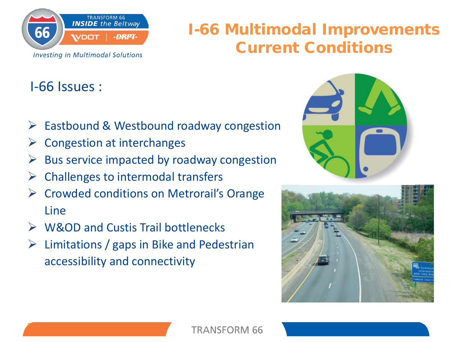

## I-66 Multimodal Improvements Current Conditions

## I-66 Issues :

- $\triangleright$  Eastbound & Westbound roadway congestion
- Congestion at interchanges
- $\triangleright$  Bus service impacted by roadway congestion
- $\triangleright$  Challenges to intermodal transfers
- **► Crowded conditions on Metrorail's Orange** Line
- **► W&OD and Custis Trail bottlenecks**
- $\triangleright$  Limitations / gaps in Bike and Pedestrian accessibility and connectivity



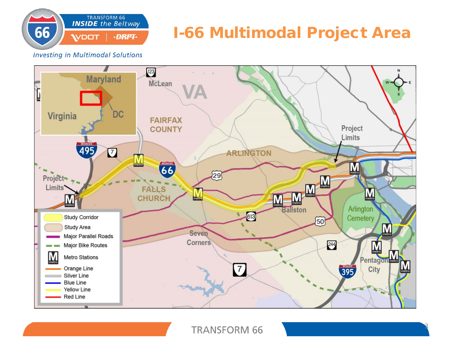

## I-66 Multimodal Project Area

**Investing in Multimodal Solutions** 



#### **TRANSFORM 66**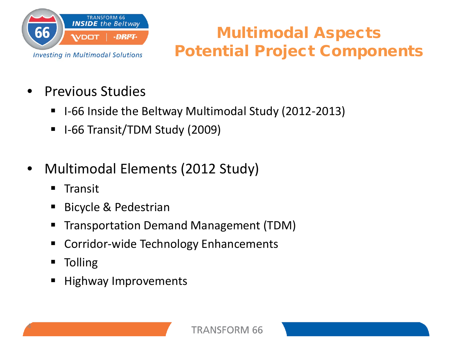

## Multimodal Aspects Potential Project Components

- Previous Studies
	- I-66 Inside the Beltway Multimodal Study (2012-2013)
	- I-66 Transit/TDM Study (2009)
- Multimodal Elements (2012 Study)
	- $\blacksquare$  Transit
	- **Bicycle & Pedestrian**
	- Transportation Demand Management (TDM)
	- Corridor-wide Technology Enhancements
	- Tolling

4

■ Highway Improvements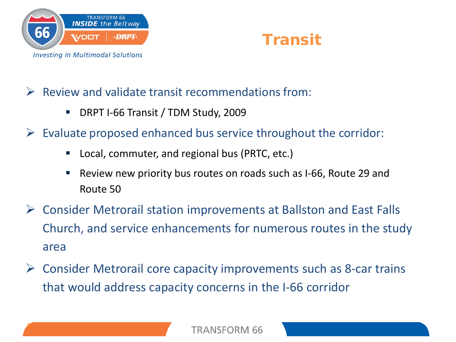



### $\triangleright$  Review and validate transit recommendations from:

- DRPT I-66 Transit / TDM Study, 2009
- $\triangleright$  Evaluate proposed enhanced bus service throughout the corridor:
	- Local, commuter, and regional bus (PRTC, etc.)
	- Review new priority bus routes on roads such as I-66, Route 29 and Route 50
- Consider Metrorail station improvements at Ballston and East Falls Church, and service enhancements for numerous routes in the study area
- Consider Metrorail core capacity improvements such as 8-car trains that would address capacity concerns in the I-66 corridor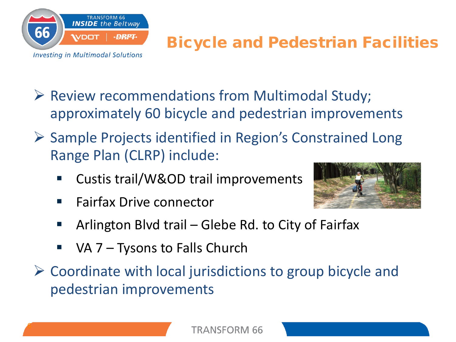

## Bicycle and Pedestrian Facilities

- Review recommendations from Multimodal Study; approximately 60 bicycle and pedestrian improvements
- $\triangleright$  Sample Projects identified in Region's Constrained Long Range Plan (CLRP) include:
	- Custis trail/W&OD trail improvements
	- **Fairfax Drive connector**



- Arlington Blvd trail Glebe Rd. to City of Fairfax
- $\blacksquare$  VA 7 Tysons to Falls Church
- Coordinate with local jurisdictions to group bicycle and pedestrian improvements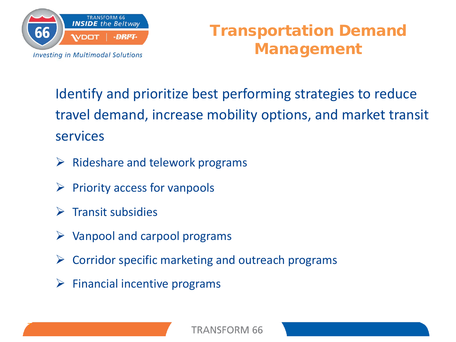

## Transportation Demand Management

Identify and prioritize best performing strategies to reduce travel demand, increase mobility options, and market transit services

- $\triangleright$  Rideshare and telework programs
- $\triangleright$  Priority access for vanpools
- $\triangleright$  Transit subsidies

- $\triangleright$  Vanpool and carpool programs
- $\triangleright$  Corridor specific marketing and outreach programs
- $\triangleright$  Financial incentive programs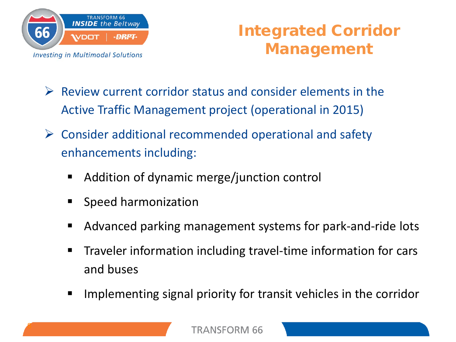

## Integrated Corridor Management

- $\triangleright$  Review current corridor status and consider elements in the Active Traffic Management project (operational in 2015)
- $\triangleright$  Consider additional recommended operational and safety enhancements including:
	- Addition of dynamic merge/junction control
	- **Speed harmonization**
	- Advanced parking management systems for park-and-ride lots
	- Traveler information including travel-time information for cars and buses
	- Implementing signal priority for transit vehicles in the corridor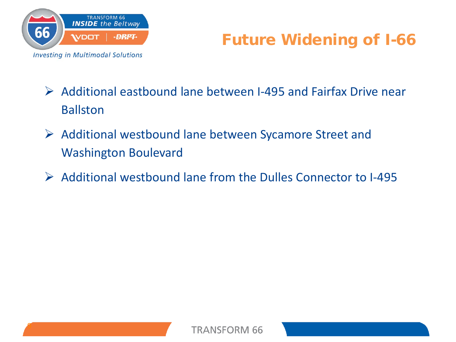

## Future Widening of I-66

- $\triangleright$  Additional eastbound lane between I-495 and Fairfax Drive near Ballston
- Additional westbound lane between Sycamore Street and Washington Boulevard
- $\triangleright$  Additional westbound lane from the Dulles Connector to I-495

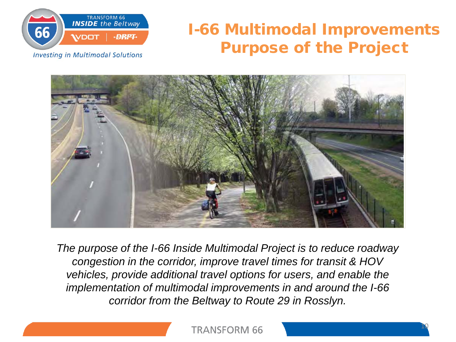

## I-66 Multimodal Improvements Purpose of the Project

**Investing in Multimodal Solutions** 



*The purpose of the I-66 Inside Multimodal Project is to reduce roadway congestion in the corridor, improve travel times for transit & HOV vehicles, provide additional travel options for users, and enable the implementation of multimodal improvements in and around the I-66 corridor from the Beltway to Route 29 in Rosslyn.*

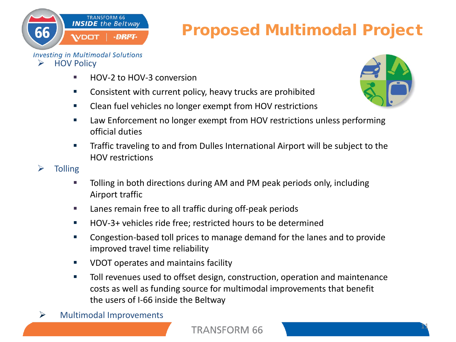

#### **Investing in Multimodal Solutions**  $\triangleright$  HOV Policy

**WDOT** 

**TRANSFORM 66 INSIDE** the Beltway

■ HOV-2 to HOV-3 conversion

·DRPT·

- **EXEDENT** Consistent with current policy, heavy trucks are prohibited
- **EXECT** Clean fuel vehicles no longer exempt from HOV restrictions
- Law Enforcement no longer exempt from HOV restrictions unless performing official duties
- **Traffic traveling to and from Dulles International Airport will be subject to the** HOV restrictions
- $\triangleright$  Tolling

- Tolling in both directions during AM and PM peak periods only, including Airport traffic
- **Lanes remain free to all traffic during off-peak periods**
- HOV-3+ vehicles ride free; restricted hours to be determined
- **EXP** Congestion-based toll prices to manage demand for the lanes and to provide improved travel time reliability
- **UDOT operates and maintains facility**
- **Toll revenues used to offset design, construction, operation and maintenance** costs as well as funding source for multimodal improvements that benefit the users of I-66 inside the Beltway
- $\triangleright$  Multimodal Improvements



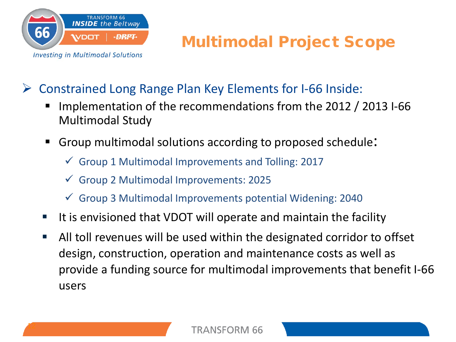

## Multimodal Project Scope

Constrained Long Range Plan Key Elements for I-66 Inside:

- Implementation of the recommendations from the 2012 / 2013 I-66 Multimodal Study
- Group multimodal solutions according to proposed schedule:
	- $\checkmark$  Group 1 Multimodal Improvements and Tolling: 2017
	- Group 2 Multimodal Improvements: 2025
	- Group 3 Multimodal Improvements potential Widening: 2040
- It is envisioned that VDOT will operate and maintain the facility
- All toll revenues will be used within the designated corridor to offset design, construction, operation and maintenance costs as well as provide a funding source for multimodal improvements that benefit I-66 users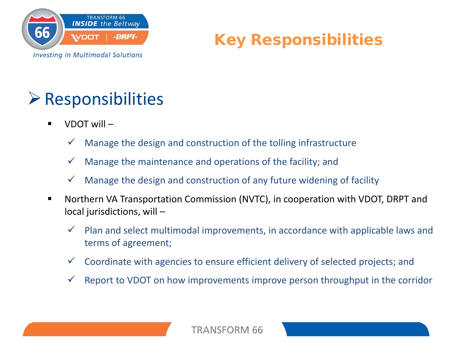



## Responsibilities

VDOT will –

- Manage the design and construction of the tolling infrastructure
- Manage the maintenance and operations of the facility; and
- Manage the design and construction of any future widening of facility
- Northern VA Transportation Commission (NVTC), in cooperation with VDOT, DRPT and local jurisdictions, will –
	- $\checkmark$  Plan and select multimodal improvements, in accordance with applicable laws and terms of agreement;
	- Coordinate with agencies to ensure efficient delivery of selected projects; and
	- Report to VDOT on how improvements improve person throughput in the corridor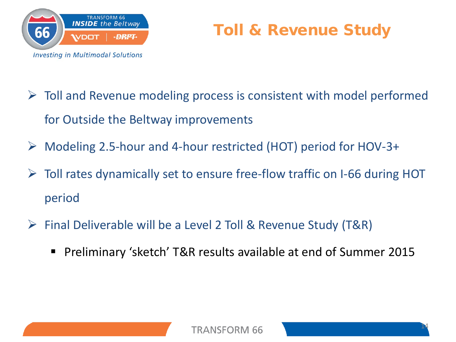

## Toll & Revenue Study

- $\triangleright$  Toll and Revenue modeling process is consistent with model performed for Outside the Beltway improvements
- Modeling 2.5-hour and 4-hour restricted (HOT) period for HOV-3+
- Toll rates dynamically set to ensure free-flow traffic on I-66 during HOT period
- ▶ Final Deliverable will be a Level 2 Toll & Revenue Study (T&R)
	- Preliminary 'sketch' T&R results available at end of Summer 2015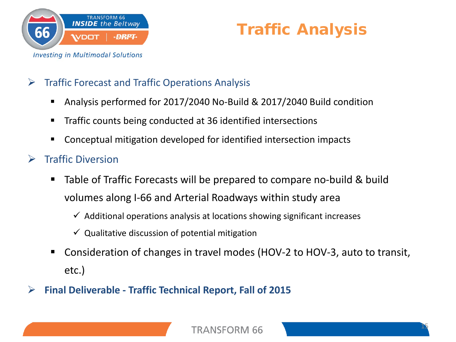

## Traffic Analysis

### $\triangleright$  Traffic Forecast and Traffic Operations Analysis

- Analysis performed for 2017/2040 No-Build & 2017/2040 Build condition
- **Traffic counts being conducted at 36 identified intersections**
- Conceptual mitigation developed for identified intersection impacts
- $\triangleright$  Traffic Diversion
	- Table of Traffic Forecasts will be prepared to compare no-build & build volumes along I-66 and Arterial Roadways within study area
		- $\checkmark$  Additional operations analysis at locations showing significant increases
		- $\checkmark$  Qualitative discussion of potential mitigation
	- Consideration of changes in travel modes (HOV-2 to HOV-3, auto to transit, etc.)
- **Final Deliverable - Traffic Technical Report, Fall of 2015**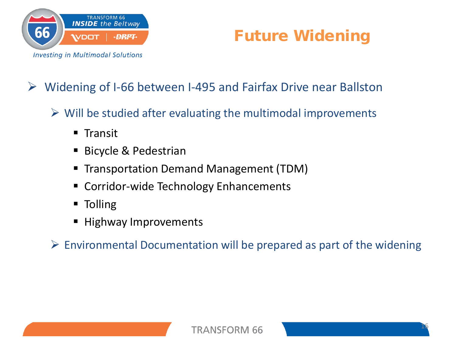

## Future Widening

## Widening of I-66 between I-495 and Fairfax Drive near Ballston

- $\triangleright$  Will be studied after evaluating the multimodal improvements
	- $\blacksquare$  Transit
	- **Bicycle & Pedestrian**
	- Transportation Demand Management (TDM)
	- Corridor-wide Technology Enhancements
	- **Tolling**
	- **Highway Improvements**
- $\triangleright$  Environmental Documentation will be prepared as part of the widening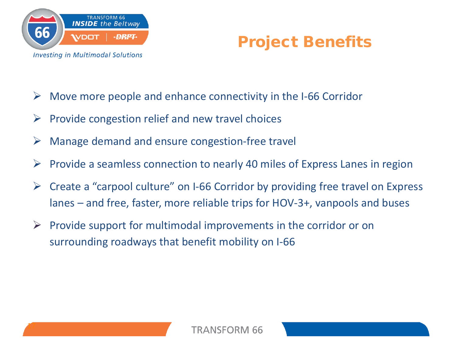



- $\triangleright$  Move more people and enhance connectivity in the I-66 Corridor
- $\triangleright$  Provide congestion relief and new travel choices
- Manage demand and ensure congestion-free travel
- $\triangleright$  Provide a seamless connection to nearly 40 miles of Express Lanes in region
- $\triangleright$  Create a "carpool culture" on I-66 Corridor by providing free travel on Express lanes – and free, faster, more reliable trips for HOV-3+, vanpools and buses
- $\triangleright$  Provide support for multimodal improvements in the corridor or on surrounding roadways that benefit mobility on I-66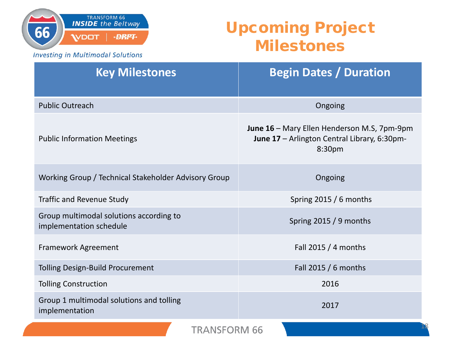

## Upcoming Project Milestones

**Investing in Multimodal Solutions** 

| <b>Key Milestones</b>                                              | <b>Begin Dates / Duration</b>                                                                                                 |
|--------------------------------------------------------------------|-------------------------------------------------------------------------------------------------------------------------------|
| <b>Public Outreach</b>                                             | Ongoing                                                                                                                       |
| <b>Public Information Meetings</b>                                 | <b>June 16</b> – Mary Ellen Henderson M.S, $7 \text{pm-9pm}$<br><b>June 17</b> – Arlington Central Library, 6:30pm-<br>8:30pm |
| Working Group / Technical Stakeholder Advisory Group               | Ongoing                                                                                                                       |
| <b>Traffic and Revenue Study</b>                                   | Spring $2015/6$ months                                                                                                        |
| Group multimodal solutions according to<br>implementation schedule | Spring $2015/9$ months                                                                                                        |
| Framework Agreement                                                | Fall 2015 / 4 months                                                                                                          |
| <b>Tolling Design-Build Procurement</b>                            | Fall 2015 / 6 months                                                                                                          |
| <b>Tolling Construction</b>                                        | 2016                                                                                                                          |
| Group 1 multimodal solutions and tolling<br>implementation         | 2017                                                                                                                          |
| <b>TRANSFORM 66</b>                                                |                                                                                                                               |